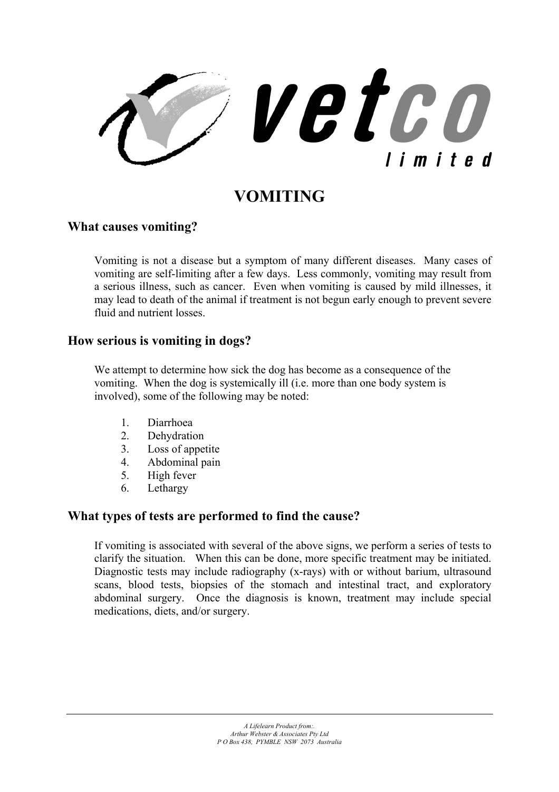

## **VOMITING**

## **What causes vomiting?**

Vomiting is not a disease but a symptom of many different diseases. Many cases of vomiting are self-limiting after a few days. Less commonly, vomiting may result from a serious illness, such as cancer. Even when vomiting is caused by mild illnesses, it may lead to death of the animal if treatment is not begun early enough to prevent severe fluid and nutrient losses.

## **How serious is vomiting in dogs?**

We attempt to determine how sick the dog has become as a consequence of the vomiting. When the dog is systemically ill (i.e. more than one body system is involved), some of the following may be noted:

- 1. Diarrhoea
- 2. Dehydration
- 3. Loss of appetite
- 4. Abdominal pain
- 5. High fever
- 6. Lethargy

## **What types of tests are performed to find the cause?**

If vomiting is associated with several of the above signs, we perform a series of tests to clarify the situation. When this can be done, more specific treatment may be initiated. Diagnostic tests may include radiography (x-rays) with or without barium, ultrasound scans, blood tests, biopsies of the stomach and intestinal tract, and exploratory abdominal surgery. Once the diagnosis is known, treatment may include special medications, diets, and/or surgery.